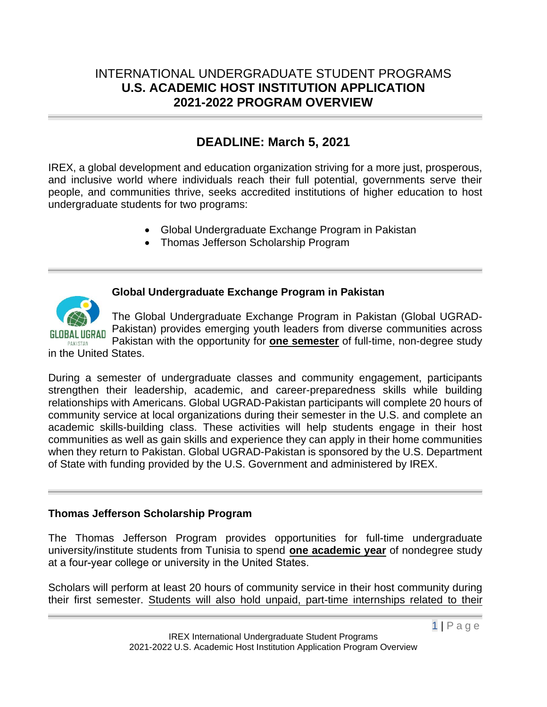## INTERNATIONAL UNDERGRADUATE STUDENT PROGRAMS **U.S. ACADEMIC HOST INSTITUTION APPLICATION 2021-2022 PROGRAM OVERVIEW**

# **DEADLINE: March 5, 2021**

IREX, a global development and education organization striving for a more just, prosperous, and inclusive world where individuals reach their full potential, governments serve their people, and communities thrive, seeks accredited institutions of higher education to host undergraduate students for two programs:

- Global Undergraduate Exchange Program in Pakistan
- Thomas Jefferson Scholarship Program



## **Global Undergraduate Exchange Program in Pakistan**

The Global Undergraduate Exchange Program in Pakistan (Global UGRAD-Pakistan) provides emerging youth leaders from diverse communities across Pakistan with the opportunity for **one semester** of full-time, non-degree study in the United States.

During a semester of undergraduate classes and community engagement, participants strengthen their leadership, academic, and career-preparedness skills while building relationships with Americans. Global UGRAD-Pakistan participants will complete 20 hours of community service at local organizations during their semester in the U.S. and complete an academic skills-building class. These activities will help students engage in their host communities as well as gain skills and experience they can apply in their home communities when they return to Pakistan. Global UGRAD-Pakistan is sponsored by the U.S. Department of State with funding provided by the U.S. Government and administered by IREX.

## **Thomas Jefferson Scholarship Program**

The Thomas Jefferson Program provides opportunities for full-time undergraduate university/institute students from Tunisia to spend **one academic year** of nondegree study at a four-year college or university in the United States.

Scholars will perform at least 20 hours of community service in their host community during their first semester. Students will also hold unpaid, part-time internships related to their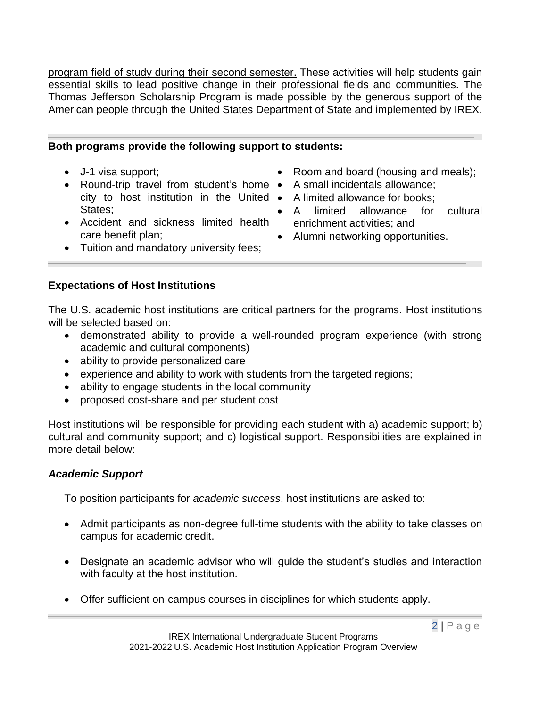program field of study during their second semester. These activities will help students gain essential skills to lead positive change in their professional fields and communities. The Thomas Jefferson Scholarship Program is made possible by the generous support of the American people through the United States Department of State and implemented by IREX.

#### **Both programs provide the following support to students:**

- J-1 visa support;
- Round-trip travel from student's home A small incidentals allowance; city to host institution in the United • A limited allowance for books; States;
- Accident and sickness limited health care benefit plan;
- Room and board (housing and meals);
- 
- 
- A limited allowance for cultural enrichment activities; and
- Alumni networking opportunities.
- Tuition and mandatory university fees;

#### **Expectations of Host Institutions**

The U.S. academic host institutions are critical partners for the programs. Host institutions will be selected based on:

- demonstrated ability to provide a well-rounded program experience (with strong academic and cultural components)
- ability to provide personalized care
- experience and ability to work with students from the targeted regions;
- ability to engage students in the local community
- proposed cost-share and per student cost

Host institutions will be responsible for providing each student with a) academic support; b) cultural and community support; and c) logistical support. Responsibilities are explained in more detail below:

#### *Academic Support*

To position participants for *academic success*, host institutions are asked to:

- Admit participants as non-degree full-time students with the ability to take classes on campus for academic credit.
- Designate an academic advisor who will guide the student's studies and interaction with faculty at the host institution.
- Offer sufficient on-campus courses in disciplines for which students apply.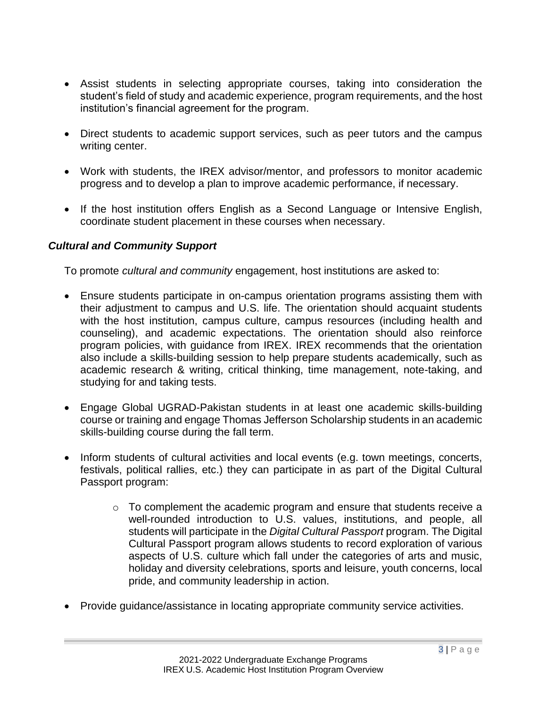- Assist students in selecting appropriate courses, taking into consideration the student's field of study and academic experience, program requirements, and the host institution's financial agreement for the program.
- Direct students to academic support services, such as peer tutors and the campus writing center.
- Work with students, the IREX advisor/mentor, and professors to monitor academic progress and to develop a plan to improve academic performance, if necessary.
- If the host institution offers English as a Second Language or Intensive English, coordinate student placement in these courses when necessary.

## *Cultural and Community Support*

To promote *cultural and community* engagement, host institutions are asked to:

- Ensure students participate in on-campus orientation programs assisting them with their adjustment to campus and U.S. life. The orientation should acquaint students with the host institution, campus culture, campus resources (including health and counseling), and academic expectations. The orientation should also reinforce program policies, with guidance from IREX. IREX recommends that the orientation also include a skills-building session to help prepare students academically, such as academic research & writing, critical thinking, time management, note-taking, and studying for and taking tests.
- Engage Global UGRAD-Pakistan students in at least one academic skills-building course or training and engage Thomas Jefferson Scholarship students in an academic skills-building course during the fall term.
- Inform students of cultural activities and local events (e.g. town meetings, concerts, festivals, political rallies, etc.) they can participate in as part of the Digital Cultural Passport program:
	- $\circ$  To complement the academic program and ensure that students receive a well-rounded introduction to U.S. values, institutions, and people, all students will participate in the *Digital Cultural Passport* program. The Digital Cultural Passport program allows students to record exploration of various aspects of U.S. culture which fall under the categories of arts and music, holiday and diversity celebrations, sports and leisure, youth concerns, local pride, and community leadership in action.
- Provide guidance/assistance in locating appropriate community service activities.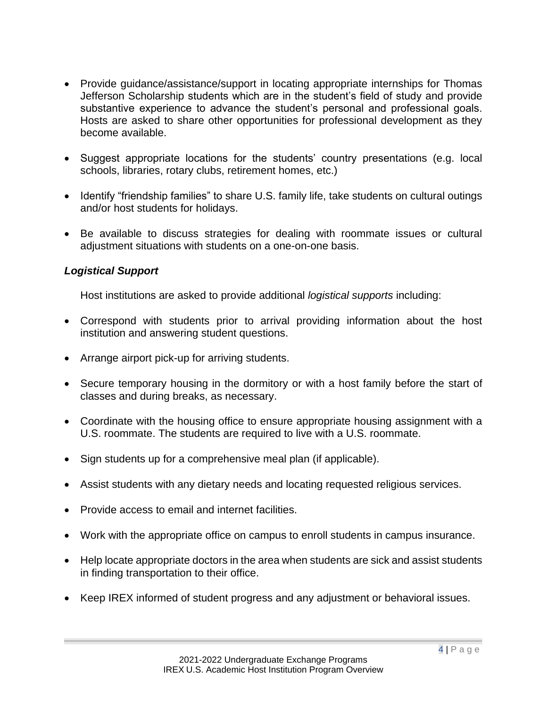- Provide guidance/assistance/support in locating appropriate internships for Thomas Jefferson Scholarship students which are in the student's field of study and provide substantive experience to advance the student's personal and professional goals. Hosts are asked to share other opportunities for professional development as they become available.
- Suggest appropriate locations for the students' country presentations (e.g. local schools, libraries, rotary clubs, retirement homes, etc.)
- Identify "friendship families" to share U.S. family life, take students on cultural outings and/or host students for holidays.
- Be available to discuss strategies for dealing with roommate issues or cultural adjustment situations with students on a one-on-one basis.

## *Logistical Support*

Host institutions are asked to provide additional *logistical supports* including:

- Correspond with students prior to arrival providing information about the host institution and answering student questions.
- Arrange airport pick-up for arriving students.
- Secure temporary housing in the dormitory or with a host family before the start of classes and during breaks, as necessary.
- Coordinate with the housing office to ensure appropriate housing assignment with a U.S. roommate. The students are required to live with a U.S. roommate.
- Sign students up for a comprehensive meal plan (if applicable).
- Assist students with any dietary needs and locating requested religious services.
- Provide access to email and internet facilities.
- Work with the appropriate office on campus to enroll students in campus insurance.
- Help locate appropriate doctors in the area when students are sick and assist students in finding transportation to their office.
- Keep IREX informed of student progress and any adjustment or behavioral issues.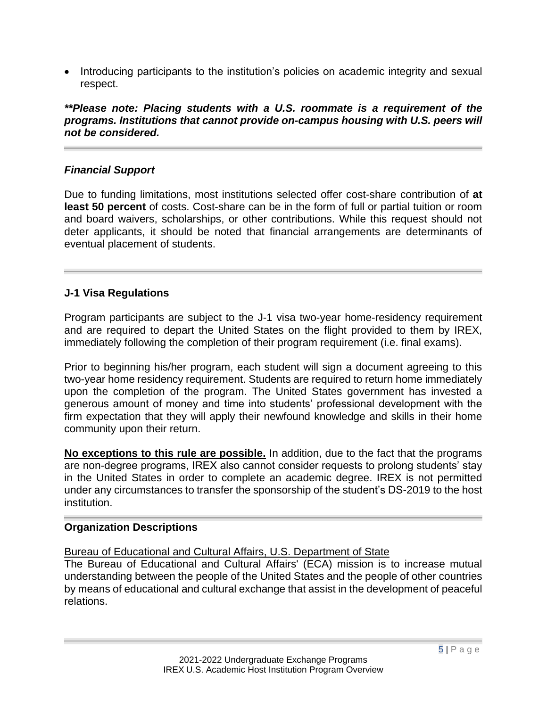• Introducing participants to the institution's policies on academic integrity and sexual respect.

*\*\*Please note: Placing students with a U.S. roommate is a requirement of the programs. Institutions that cannot provide on-campus housing with U.S. peers will not be considered.*

## *Financial Support*

Due to funding limitations, most institutions selected offer cost-share contribution of **at least 50 percent** of costs. Cost-share can be in the form of full or partial tuition or room and board waivers, scholarships, or other contributions. While this request should not deter applicants, it should be noted that financial arrangements are determinants of eventual placement of students.

## **J-1 Visa Regulations**

Program participants are subject to the J-1 visa two-year home-residency requirement and are required to depart the United States on the flight provided to them by IREX, immediately following the completion of their program requirement (i.e. final exams).

Prior to beginning his/her program, each student will sign a document agreeing to this two-year home residency requirement. Students are required to return home immediately upon the completion of the program. The United States government has invested a generous amount of money and time into students' professional development with the firm expectation that they will apply their newfound knowledge and skills in their home community upon their return.

**No exceptions to this rule are possible.** In addition, due to the fact that the programs are non-degree programs, IREX also cannot consider requests to prolong students' stay in the United States in order to complete an academic degree. IREX is not permitted under any circumstances to transfer the sponsorship of the student's DS-2019 to the host institution.

#### **Organization Descriptions**

#### Bureau of Educational and Cultural Affairs, U.S. Department of State

The Bureau of Educational and Cultural Affairs' (ECA) mission is to increase mutual understanding between the people of the United States and the people of other countries by means of educational and cultural exchange that assist in the development of peaceful relations.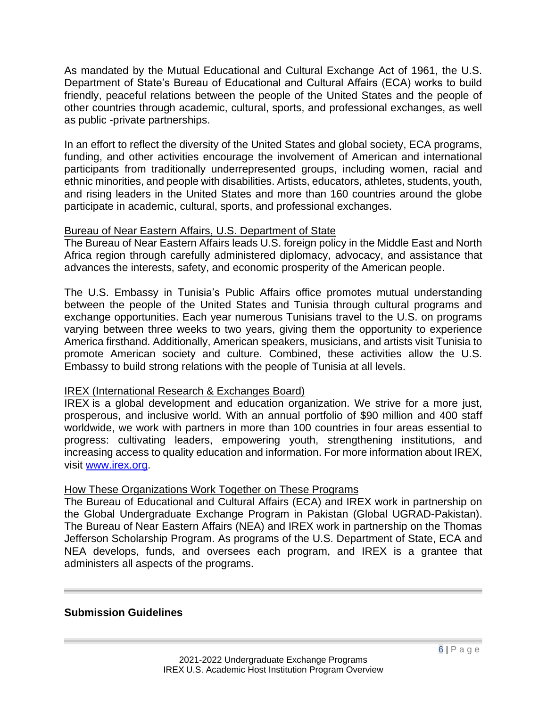As mandated by the Mutual Educational and Cultural Exchange Act of 1961, the U.S. Department of State's Bureau of Educational and Cultural Affairs (ECA) works to build friendly, peaceful relations between the people of the United States and the people of other countries through academic, cultural, sports, and professional exchanges, as well as public -private partnerships.

In an effort to reflect the diversity of the United States and global society, ECA programs, funding, and other activities encourage the involvement of American and international participants from traditionally underrepresented groups, including women, racial and ethnic minorities, and people with disabilities. Artists, educators, athletes, students, youth, and rising leaders in the United States and more than 160 countries around the globe participate in academic, cultural, sports, and professional exchanges.

## Bureau of Near Eastern Affairs, U.S. Department of State

The Bureau of Near Eastern Affairs leads U.S. foreign policy in the Middle East and North Africa region through carefully administered diplomacy, advocacy, and assistance that advances the interests, safety, and economic prosperity of the American people.

The U.S. Embassy in Tunisia's Public Affairs office promotes mutual understanding between the people of the United States and Tunisia through cultural programs and exchange opportunities. Each year numerous Tunisians travel to the U.S. on programs varying between three weeks to two years, giving them the opportunity to experience America firsthand. Additionally, American speakers, musicians, and artists visit Tunisia to promote American society and culture. Combined, these activities allow the U.S. Embassy to build strong relations with the people of Tunisia at all levels.

## IREX (International Research & Exchanges Board)

IREX is a global development and education organization. We strive for a more just, prosperous, and inclusive world. With an annual portfolio of \$90 million and 400 staff worldwide, we work with partners in more than 100 countries in four areas essential to progress: cultivating leaders, empowering youth, strengthening institutions, and increasing access to quality education and information. For more information about IREX, visit [www.irex.org.](http://www.irex.org/)

#### How These Organizations Work Together on These Programs

The Bureau of Educational and Cultural Affairs (ECA) and IREX work in partnership on the Global Undergraduate Exchange Program in Pakistan (Global UGRAD-Pakistan). The Bureau of Near Eastern Affairs (NEA) and IREX work in partnership on the Thomas Jefferson Scholarship Program. As programs of the U.S. Department of State, ECA and NEA develops, funds, and oversees each program, and IREX is a grantee that administers all aspects of the programs.

#### **Submission Guidelines**